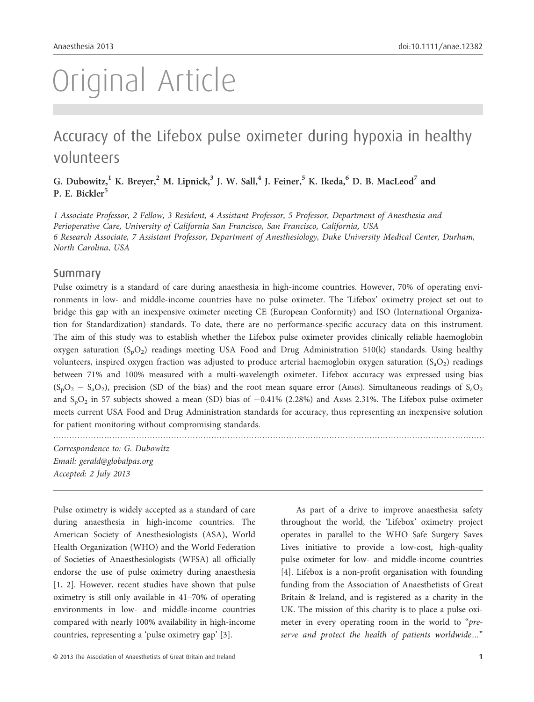# Original Article

# Accuracy of the Lifebox pulse oximeter during hypoxia in healthy volunteers

G. Dubowitz,<sup>1</sup> K. Breyer,<sup>2</sup> M. Lipnick,<sup>3</sup> J. W. Sall,<sup>4</sup> J. Feiner,<sup>5</sup> K. Ikeda,<sup>6</sup> D. B. MacLeod<sup>7</sup> and P. E. Bickler<sup>5</sup>

1 Associate Professor, 2 Fellow, 3 Resident, 4 Assistant Professor, 5 Professor, Department of Anesthesia and Perioperative Care, University of California San Francisco, San Francisco, California, USA 6 Research Associate, 7 Assistant Professor, Department of Anesthesiology, Duke University Medical Center, Durham, North Carolina, USA

#### Summary

Pulse oximetry is a standard of care during anaesthesia in high-income countries. However, 70% of operating environments in low- and middle-income countries have no pulse oximeter. The 'Lifebox' oximetry project set out to bridge this gap with an inexpensive oximeter meeting CE (European Conformity) and ISO (International Organization for Standardization) standards. To date, there are no performance-specific accuracy data on this instrument. The aim of this study was to establish whether the Lifebox pulse oximeter provides clinically reliable haemoglobin oxygen saturation  $(S_pO_2)$  readings meeting USA Food and Drug Administration 510(k) standards. Using healthy volunteers, inspired oxygen fraction was adjusted to produce arterial haemoglobin oxygen saturation  $(S_aO_2)$  readings between 71% and 100% measured with a multi-wavelength oximeter. Lifebox accuracy was expressed using bias  $(S_pO_2 - S_aO_2)$ , precision (SD of the bias) and the root mean square error (ARMS). Simultaneous readings of  $S_aO_2$ and  $S_bO_2$  in 57 subjects showed a mean (SD) bias of  $-0.41\%$  (2.28%) and ARMS 2.31%. The Lifebox pulse oximeter meets current USA Food and Drug Administration standards for accuracy, thus representing an inexpensive solution for patient monitoring without compromising standards.

.................................................................................................................................................................

Correspondence to: G. Dubowitz Email: gerald@globalpas.org Accepted: 2 July 2013

Pulse oximetry is widely accepted as a standard of care during anaesthesia in high-income countries. The American Society of Anesthesiologists (ASA), World Health Organization (WHO) and the World Federation of Societies of Anaesthesiologists (WFSA) all officially endorse the use of pulse oximetry during anaesthesia [1, 2]. However, recent studies have shown that pulse oximetry is still only available in 41–70% of operating environments in low- and middle-income countries compared with nearly 100% availability in high-income countries, representing a 'pulse oximetry gap' [3].

As part of a drive to improve anaesthesia safety throughout the world, the 'Lifebox' oximetry project operates in parallel to the WHO Safe Surgery Saves Lives initiative to provide a low-cost, high-quality pulse oximeter for low- and middle-income countries [4]. Lifebox is a non-profit organisation with founding funding from the Association of Anaesthetists of Great Britain & Ireland, and is registered as a charity in the UK. The mission of this charity is to place a pulse oximeter in every operating room in the world to "preserve and protect the health of patients worldwide…"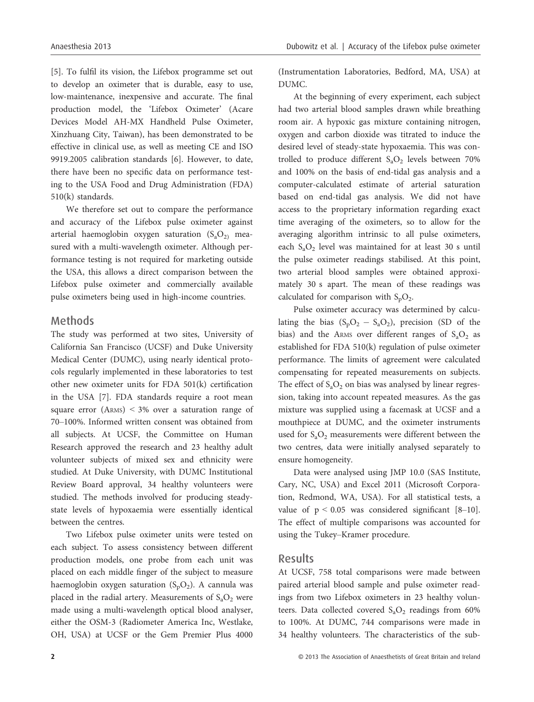[5]. To fulfil its vision, the Lifebox programme set out to develop an oximeter that is durable, easy to use, low-maintenance, inexpensive and accurate. The final production model, the 'Lifebox Oximeter' (Acare Devices Model AH-MX Handheld Pulse Oximeter, Xinzhuang City, Taiwan), has been demonstrated to be effective in clinical use, as well as meeting CE and ISO 9919.2005 calibration standards [6]. However, to date, there have been no specific data on performance testing to the USA Food and Drug Administration (FDA) 510(k) standards.

We therefore set out to compare the performance and accuracy of the Lifebox pulse oximeter against arterial haemoglobin oxygen saturation  $(S_a O_2)$  measured with a multi-wavelength oximeter. Although performance testing is not required for marketing outside the USA, this allows a direct comparison between the Lifebox pulse oximeter and commercially available pulse oximeters being used in high-income countries.

# Methods

The study was performed at two sites, University of California San Francisco (UCSF) and Duke University Medical Center (DUMC), using nearly identical protocols regularly implemented in these laboratories to test other new oximeter units for FDA 501(k) certification in the USA [7]. FDA standards require a root mean square error (ARMS) < 3% over a saturation range of 70–100%. Informed written consent was obtained from all subjects. At UCSF, the Committee on Human Research approved the research and 23 healthy adult volunteer subjects of mixed sex and ethnicity were studied. At Duke University, with DUMC Institutional Review Board approval, 34 healthy volunteers were studied. The methods involved for producing steadystate levels of hypoxaemia were essentially identical between the centres.

Two Lifebox pulse oximeter units were tested on each subject. To assess consistency between different production models, one probe from each unit was placed on each middle finger of the subject to measure haemoglobin oxygen saturation  $(S_pO_2)$ . A cannula was placed in the radial artery. Measurements of  $S_aO_2$  were made using a multi-wavelength optical blood analyser, either the OSM-3 (Radiometer America Inc, Westlake, OH, USA) at UCSF or the Gem Premier Plus 4000

(Instrumentation Laboratories, Bedford, MA, USA) at DUMC.

At the beginning of every experiment, each subject had two arterial blood samples drawn while breathing room air. A hypoxic gas mixture containing nitrogen, oxygen and carbon dioxide was titrated to induce the desired level of steady-state hypoxaemia. This was controlled to produce different  $S_aO_2$  levels between 70% and 100% on the basis of end-tidal gas analysis and a computer-calculated estimate of arterial saturation based on end-tidal gas analysis. We did not have access to the proprietary information regarding exact time averaging of the oximeters, so to allow for the averaging algorithm intrinsic to all pulse oximeters, each  $S_aO_2$  level was maintained for at least 30 s until the pulse oximeter readings stabilised. At this point, two arterial blood samples were obtained approximately 30 s apart. The mean of these readings was calculated for comparison with  $S_pO_2$ .

Pulse oximeter accuracy was determined by calculating the bias  $(S_pO_2 - S_aO_2)$ , precision (SD of the bias) and the ARMS over different ranges of  $S_aO_2$  as established for FDA 510(k) regulation of pulse oximeter performance. The limits of agreement were calculated compensating for repeated measurements on subjects. The effect of  $S_aO_2$  on bias was analysed by linear regression, taking into account repeated measures. As the gas mixture was supplied using a facemask at UCSF and a mouthpiece at DUMC, and the oximeter instruments used for  $S_aO_2$  measurements were different between the two centres, data were initially analysed separately to ensure homogeneity.

Data were analysed using JMP 10.0 (SAS Institute, Cary, NC, USA) and Excel 2011 (Microsoft Corporation, Redmond, WA, USA). For all statistical tests, a value of  $p < 0.05$  was considered significant [8–10]. The effect of multiple comparisons was accounted for using the Tukey–Kramer procedure.

#### Results

At UCSF, 758 total comparisons were made between paired arterial blood sample and pulse oximeter readings from two Lifebox oximeters in 23 healthy volunteers. Data collected covered  $S_aO_2$  readings from 60% to 100%. At DUMC, 744 comparisons were made in 34 healthy volunteers. The characteristics of the sub-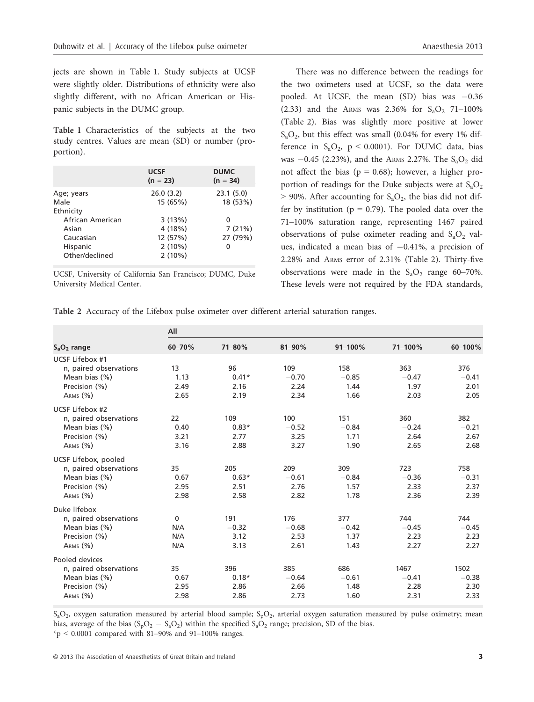jects are shown in Table 1. Study subjects at UCSF were slightly older. Distributions of ethnicity were also slightly different, with no African American or Hispanic subjects in the DUMC group.

Table 1 Characteristics of the subjects at the two study centres. Values are mean (SD) or number (proportion).

|                  | <b>UCSF</b><br>$(n = 23)$ | <b>DUMC</b><br>$(n = 34)$ |
|------------------|---------------------------|---------------------------|
| Age; years       | 26.0(3.2)                 | 23.1(5.0)                 |
| Male             | 15 (65%)                  | 18 (53%)                  |
| Ethnicity        |                           |                           |
| African American | 3(13%)                    | 0                         |
| Asian            | 4 (18%)                   | 7(21%)                    |
| Caucasian        | 12 (57%)                  | 27 (79%)                  |
| Hispanic         | $2(10\%)$                 | 0                         |
| Other/declined   | $2(10\%)$                 |                           |

UCSF, University of California San Francisco; DUMC, Duke University Medical Center.

There was no difference between the readings for the two oximeters used at UCSF, so the data were pooled. At UCSF, the mean (SD) bias was  $-0.36$ (2.33) and the ARMS was 2.36% for  $S_3O_2$  71–100% (Table 2). Bias was slightly more positive at lower  $S_aO_2$ , but this effect was small (0.04% for every 1% difference in  $S_aO_2$ ,  $p < 0.0001$ ). For DUMC data, bias was  $-0.45$  (2.23%), and the ARMS 2.27%. The S<sub>a</sub>O<sub>2</sub> did not affect the bias ( $p = 0.68$ ); however, a higher proportion of readings for the Duke subjects were at  $S_aO_2$  $>$  90%. After accounting for S<sub>a</sub>O<sub>2</sub>, the bias did not differ by institution ( $p = 0.79$ ). The pooled data over the 71–100% saturation range, representing 1467 paired observations of pulse oximeter reading and  $S_aO_2$  values, indicated a mean bias of  $-0.41\%$ , a precision of 2.28% and ARMS error of 2.31% (Table 2). Thirty-five observations were made in the  $S_aO_2$  range 60–70%. These levels were not required by the FDA standards,

Table 2 Accuracy of the Lifebox pulse oximeter over different arterial saturation ranges.

|                        | All          |         |         |         |         |         |  |
|------------------------|--------------|---------|---------|---------|---------|---------|--|
| $S_aO_2$ range         | 60-70%       | 71-80%  | 81-90%  | 91-100% | 71-100% | 60-100% |  |
| UCSF Lifebox #1        |              |         |         |         |         |         |  |
| n, paired observations | 13           | 96      | 109     | 158     | 363     | 376     |  |
| Mean bias (%)          | 1.13         | $0.41*$ | $-0.70$ | $-0.85$ | $-0.47$ | $-0.41$ |  |
| Precision (%)          | 2.49         | 2.16    | 2.24    | 1.44    | 1.97    | 2.01    |  |
| ARMS (%)               | 2.65         | 2.19    | 2.34    | 1.66    | 2.03    | 2.05    |  |
| UCSF Lifebox #2        |              |         |         |         |         |         |  |
| n, paired observations | 22           | 109     | 100     | 151     | 360     | 382     |  |
| Mean bias (%)          | 0.40         | $0.83*$ | $-0.52$ | $-0.84$ | $-0.24$ | $-0.21$ |  |
| Precision (%)          | 3.21         | 2.77    | 3.25    | 1.71    | 2.64    | 2.67    |  |
| ARMS (%)               | 3.16         | 2.88    | 3.27    | 1.90    | 2.65    | 2.68    |  |
| UCSF Lifebox, pooled   |              |         |         |         |         |         |  |
| n, paired observations | 35           | 205     | 209     | 309     | 723     | 758     |  |
| Mean bias (%)          | 0.67         | $0.63*$ | $-0.61$ | $-0.84$ | $-0.36$ | $-0.31$ |  |
| Precision (%)          | 2.95         | 2.51    | 2.76    | 1.57    | 2.33    | 2.37    |  |
| ARMS (%)               | 2.98         | 2.58    | 2.82    | 1.78    | 2.36    | 2.39    |  |
| Duke lifebox           |              |         |         |         |         |         |  |
| n, paired observations | $\mathbf{0}$ | 191     | 176     | 377     | 744     | 744     |  |
| Mean bias $(\%)$       | N/A          | $-0.32$ | $-0.68$ | $-0.42$ | $-0.45$ | $-0.45$ |  |
| Precision (%)          | N/A          | 3.12    | 2.53    | 1.37    | 2.23    | 2.23    |  |
| ARMS (%)               | N/A          | 3.13    | 2.61    | 1.43    | 2.27    | 2.27    |  |
| Pooled devices         |              |         |         |         |         |         |  |
| n, paired observations | 35           | 396     | 385     | 686     | 1467    | 1502    |  |
| Mean bias (%)          | 0.67         | $0.18*$ | $-0.64$ | $-0.61$ | $-0.41$ | $-0.38$ |  |
| Precision (%)          | 2.95         | 2.86    | 2.66    | 1.48    | 2.28    | 2.30    |  |
| ARMS (%)               | 2.98         | 2.86    | 2.73    | 1.60    | 2.31    | 2.33    |  |

 $S_aO_2$ , oxygen saturation measured by arterial blood sample;  $S_pO_2$ , arterial oxygen saturation measured by pulse oximetry; mean bias, average of the bias ( $S_pO_2 - S_aO_2$ ) within the specified  $S_aO_2$  range; precision, SD of the bias.

 $*_p$  < 0.0001 compared with 81–90% and 91–100% ranges.